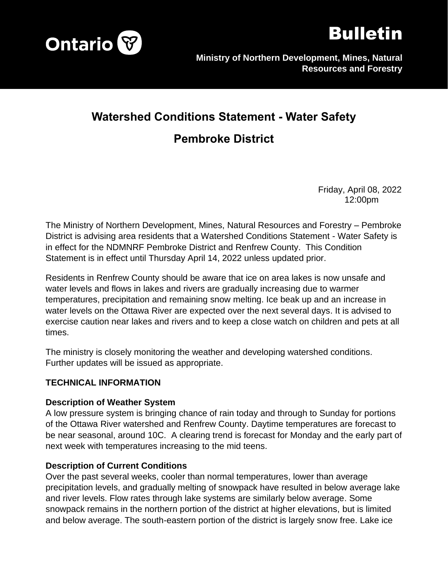



# **Watershed Conditions Statement - Water Safety**

## **Pembroke District**

Friday, April 08, 2022 12:00pm

The Ministry of Northern Development, Mines, Natural Resources and Forestry – Pembroke District is advising area residents that a Watershed Conditions Statement - Water Safety is in effect for the NDMNRF Pembroke District and Renfrew County. This Condition Statement is in effect until Thursday April 14, 2022 unless updated prior.

Residents in Renfrew County should be aware that ice on area lakes is now unsafe and water levels and flows in lakes and rivers are gradually increasing due to warmer temperatures, precipitation and remaining snow melting. Ice beak up and an increase in water levels on the Ottawa River are expected over the next several days. It is advised to exercise caution near lakes and rivers and to keep a close watch on children and pets at all times.

The ministry is closely monitoring the weather and developing watershed conditions. Further updates will be issued as appropriate.

#### **TECHNICAL INFORMATION**

#### **Description of Weather System**

A low pressure system is bringing chance of rain today and through to Sunday for portions of the Ottawa River watershed and Renfrew County. Daytime temperatures are forecast to be near seasonal, around 10C. A clearing trend is forecast for Monday and the early part of next week with temperatures increasing to the mid teens.

#### **Description of Current Conditions**

Over the past several weeks, cooler than normal temperatures, lower than average precipitation levels, and gradually melting of snowpack have resulted in below average lake and river levels. Flow rates through lake systems are similarly below average. Some snowpack remains in the northern portion of the district at higher elevations, but is limited and below average. The south-eastern portion of the district is largely snow free. Lake ice